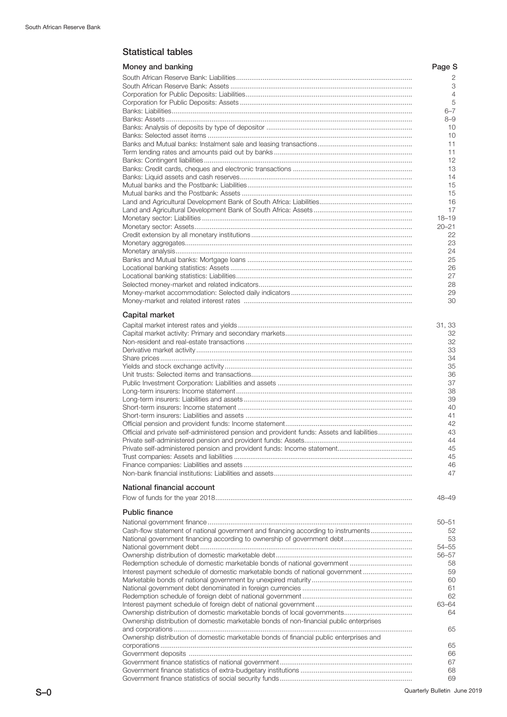# Statistical tables

| Money and banking                                                                          | Page S             |
|--------------------------------------------------------------------------------------------|--------------------|
|                                                                                            | 2                  |
|                                                                                            | 3<br>4             |
|                                                                                            | 5                  |
|                                                                                            | $6 - 7$<br>$8 - 9$ |
|                                                                                            | 10                 |
|                                                                                            | 10                 |
|                                                                                            | 11<br>11           |
|                                                                                            | 12                 |
|                                                                                            | 13                 |
|                                                                                            | 14<br>15           |
|                                                                                            | 15                 |
|                                                                                            | 16<br>17           |
|                                                                                            | $18 - 19$          |
|                                                                                            | $20 - 21$          |
|                                                                                            | 22<br>23           |
|                                                                                            | 24                 |
|                                                                                            | 25                 |
|                                                                                            | 26<br>27           |
|                                                                                            | 28                 |
|                                                                                            | 29                 |
|                                                                                            | 30                 |
| Capital market                                                                             |                    |
|                                                                                            | 31, 33<br>32       |
|                                                                                            | 32                 |
|                                                                                            | 33                 |
|                                                                                            | 34<br>35           |
|                                                                                            | 36                 |
|                                                                                            | 37<br>38           |
|                                                                                            | 39                 |
|                                                                                            | 40                 |
|                                                                                            | 41<br>42           |
| Official and private self-administered pension and provident funds: Assets and liabilities | 43                 |
| Private self-administered pension and provident funds: Assets.                             | 44<br>45           |
|                                                                                            | 45                 |
|                                                                                            | 46                 |
|                                                                                            | 47                 |
| National financial account                                                                 |                    |
|                                                                                            | 48-49              |
| <b>Public finance</b>                                                                      |                    |
| Cash-flow statement of national government and financing according to instruments          | $50 - 51$          |
|                                                                                            | 52<br>53           |
|                                                                                            | 54-55              |
|                                                                                            | 56-57<br>58        |
| Interest payment schedule of domestic marketable bonds of national government              | 59                 |
|                                                                                            | 60                 |
|                                                                                            | 61<br>62           |
|                                                                                            | 63-64              |
| Ownership distribution of domestic marketable bonds of non-financial public enterprises    | 64                 |
|                                                                                            | 65                 |
| Ownership distribution of domestic marketable bonds of financial public enterprises and    |                    |
|                                                                                            | 65<br>66           |
|                                                                                            | 67                 |
|                                                                                            | 68<br>69           |
|                                                                                            |                    |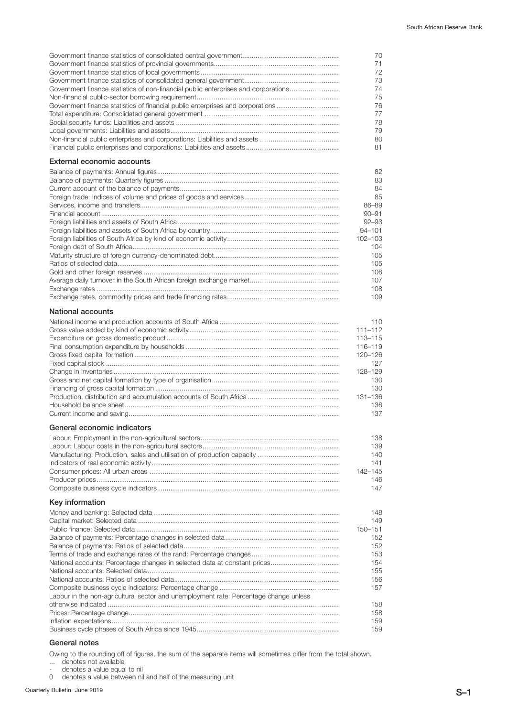|                                                                                       | 70<br>71                |
|---------------------------------------------------------------------------------------|-------------------------|
|                                                                                       | 72                      |
|                                                                                       | 73                      |
| Government finance statistics of non-financial public enterprises and corporations    | 74                      |
|                                                                                       | 75<br>76                |
| Government finance statistics of financial public enterprises and corporations        | 77                      |
|                                                                                       | 78                      |
|                                                                                       | 79                      |
|                                                                                       | 80                      |
|                                                                                       | 81                      |
|                                                                                       |                         |
| <b>External economic accounts</b>                                                     |                         |
|                                                                                       | 82                      |
|                                                                                       | 83                      |
|                                                                                       | 84                      |
|                                                                                       | 85                      |
|                                                                                       | 86-89                   |
|                                                                                       | $90 - 91$               |
|                                                                                       | $92 - 93$<br>$94 - 101$ |
|                                                                                       | 102-103                 |
|                                                                                       | 104                     |
|                                                                                       | 105                     |
|                                                                                       | 105                     |
|                                                                                       | 106                     |
|                                                                                       | 107                     |
|                                                                                       | 108                     |
|                                                                                       | 109                     |
|                                                                                       |                         |
| National accounts                                                                     |                         |
|                                                                                       | 110                     |
|                                                                                       | $111 - 112$             |
|                                                                                       | 113-115                 |
|                                                                                       | 116-119                 |
|                                                                                       | 120-126                 |
|                                                                                       | 127                     |
|                                                                                       | 128-129                 |
|                                                                                       | 130                     |
|                                                                                       | 130                     |
|                                                                                       | 131-136                 |
|                                                                                       | 136                     |
|                                                                                       | 137                     |
| General economic indicators                                                           |                         |
|                                                                                       | 138                     |
|                                                                                       | 139                     |
|                                                                                       | 140                     |
|                                                                                       | 141                     |
|                                                                                       | 142-145                 |
|                                                                                       | 146                     |
|                                                                                       | 147                     |
| Key information                                                                       |                         |
|                                                                                       |                         |
|                                                                                       | 148                     |
|                                                                                       | 149                     |
|                                                                                       | 150-151                 |
|                                                                                       | 152<br>152              |
|                                                                                       | 153                     |
|                                                                                       | 154                     |
|                                                                                       | 155                     |
|                                                                                       | 156                     |
|                                                                                       | 157                     |
| Labour in the non-agricultural sector and unemployment rate: Percentage change unless |                         |
|                                                                                       | 158                     |
|                                                                                       | 158                     |
|                                                                                       | 159                     |
|                                                                                       | 159                     |
|                                                                                       |                         |

### General notes

Owing to the rounding off of figures, the sum of the separate items will sometimes differ from the total shown.

... denotes not available

- denotes a value equal to nil 0 denotes a value between nil and half of the measuring unit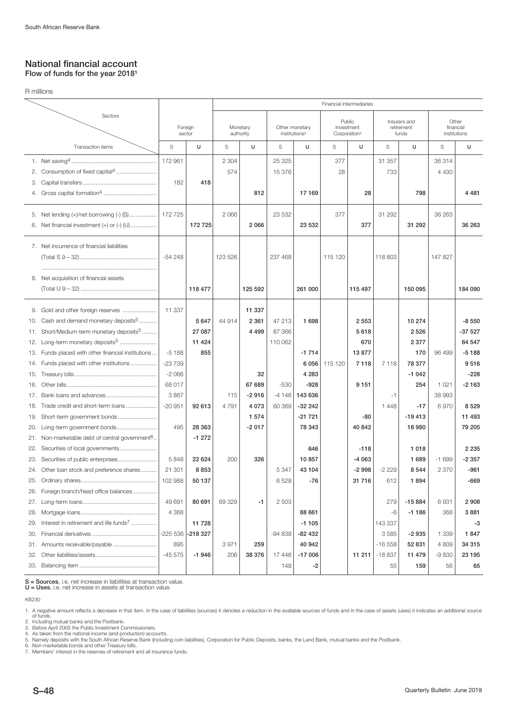## National financial account Flow of funds for the year 20181

|     | R millions                                             |           |                                            |         |                                             |          |                                                  |         |                          |          |                           |         |          |
|-----|--------------------------------------------------------|-----------|--------------------------------------------|---------|---------------------------------------------|----------|--------------------------------------------------|---------|--------------------------|----------|---------------------------|---------|----------|
|     |                                                        |           |                                            |         |                                             |          |                                                  |         | Financial intermediaries |          |                           |         |          |
|     | Sectors                                                |           |                                            |         |                                             |          |                                                  |         |                          |          | Insurers and              |         | Other    |
|     |                                                        |           | Foreign<br>Monetary<br>authority<br>sector |         | Other monetary<br>institutions <sup>2</sup> |          | Public<br>Investment<br>Corporation <sup>3</sup> |         | retirement<br>funds      |          | financial<br>institutions |         |          |
|     | Transaction items                                      | S         | U                                          | S       | U                                           | S        | U                                                | S       | U                        | S        | U                         | S       | U        |
|     |                                                        | 172 961   |                                            | 2 3 0 4 |                                             | 25 3 25  |                                                  | 377     |                          | 31 357   |                           | 36314   |          |
| 2.  | Consumption of fixed capital <sup>4</sup>              |           |                                            | 574     |                                             | 15 376   |                                                  | 28      |                          | 733      |                           | 4 4 3 0 |          |
| З.  |                                                        | 182       | 418                                        |         |                                             |          |                                                  |         |                          |          |                           |         |          |
|     |                                                        |           |                                            |         | 812                                         |          | 17 169                                           |         | 28                       |          | 798                       |         | 4 4 8 1  |
|     |                                                        |           |                                            |         |                                             |          |                                                  |         |                          |          |                           |         |          |
|     | 5. Net lending (+)/net borrowing (-) (S)               | 172725    |                                            | 2 0 6 6 |                                             | 23 532   |                                                  | 377     |                          | 31 292   |                           | 36 263  |          |
| 6.  |                                                        |           | 172 725                                    |         | 2 0 6 6                                     |          | 23 532                                           |         | 377                      |          | 31 292                    |         | 36 263   |
|     | 7. Net incurrence of financial liabilities             |           |                                            |         |                                             |          |                                                  |         |                          |          |                           |         |          |
|     |                                                        |           |                                            | 123 526 |                                             | 237 468  |                                                  | 115 120 |                          | 118 803  |                           | 147827  |          |
|     |                                                        |           |                                            |         |                                             |          |                                                  |         |                          |          |                           |         |          |
|     | 8. Net acquisition of financial assets                 |           |                                            |         |                                             |          |                                                  |         |                          |          |                           |         |          |
|     |                                                        |           | 118 477                                    |         | 125 592                                     |          | 261 000                                          |         | 115 497                  |          | 150 095                   |         | 184 090  |
| 9.  | Gold and other foreign reserves                        | 11 337    |                                            |         | 11 337                                      |          |                                                  |         |                          |          |                           |         |          |
| 10. | Cash and demand monetary deposits <sup>5</sup>         |           | 5 6 4 7                                    | 44 914  | 2 3 6 1                                     | 47 213   | 1 6 9 8                                          |         | 2 5 5 3                  |          | 10 274                    |         | $-8550$  |
| 11. | Short/Medium-term monetary deposits <sup>5</sup>       |           | 27 087                                     |         | 4 4 9 9                                     | 87 366   |                                                  |         | 5618                     |          | 2 5 2 6                   |         | $-37527$ |
| 12. | Long-term monetary deposits <sup>5</sup>               |           | 11 4 24                                    |         |                                             | 110 062  |                                                  |         | 670                      |          | 2 3 7 7                   |         | 64 547   |
| 13. | Funds placed with other financial institutions         | $-5188$   | 855                                        |         |                                             |          | $-1714$                                          |         | 13877                    |          | 170                       | 96 499  | $-5188$  |
| 14. | Funds placed with other institutions                   | $-23739$  |                                            |         |                                             |          | 6056                                             | 115 120 | 7118                     | 7 1 1 8  | 78 377                    |         | 9516     |
| 15. |                                                        | $-2066$   |                                            |         | 32                                          |          | 4 2 8 3                                          |         |                          |          | $-1042$                   |         | $-228$   |
| 16. |                                                        | 68 017    |                                            |         | 67 689                                      | $-530$   | $-928$                                           |         | 9 1 5 1                  |          | 254                       | 1 0 2 1 | $-2163$  |
| 17. | Bank loans and advances                                | 3867      |                                            | 115     | $-2916$                                     | $-4146$  | 143 636                                          |         |                          | $-1$     |                           | 38 993  |          |
| 18. | Trade credit and short-term loans                      | $-20951$  | 92 613                                     | 4791    | 4 0 7 3                                     | 60 369   | $-322242$                                        |         |                          | 1448     | $-17$                     | 6970    | 8 5 2 9  |
| 19. | Short-term government bonds                            |           |                                            |         | 1 5 7 4                                     |          | $-21721$                                         |         | -80                      |          | $-19413$                  |         | 11 493   |
| 20. | Long-term government bonds                             | 495       | 28 363                                     |         | $-2017$                                     |          | 78 343                                           |         | 40 842                   |          | 18 980                    |         | 79 205   |
| 21. | Non-marketable debt of central government <sup>6</sup> |           | $-1272$                                    |         |                                             |          |                                                  |         |                          |          |                           |         |          |
| 22. | Securities of local governments                        |           |                                            |         |                                             |          | 646                                              |         | $-118$                   |          | 1 0 1 8                   |         | 2 2 3 5  |
|     |                                                        | 5848      | 22 624                                     | 200     | 326                                         |          | 10857                                            |         | $-4063$                  |          | 1 689                     | $-1699$ | $-2357$  |
| 24. | Other loan stock and preference shares                 | 21 301    | 8853                                       |         |                                             | 5 347    | 43 104                                           |         | -2 998                   | -2 229   | 8 544                     | 2370    | -961     |
| 25. |                                                        | 102 988   | 50 137                                     |         |                                             | 6528     | -76                                              |         | 31 716                   | 612      | 1894                      |         | $-669$   |
| 26. | Foreign branch/head office balances                    |           |                                            |         |                                             |          |                                                  |         |                          |          |                           |         |          |
| 27. |                                                        | 49 691    | 80 691                                     | 69 329  | -1                                          | 2 5 0 3  |                                                  |         |                          | 279      | $-15884$                  | 6931    | 2908     |
| 28. |                                                        | 4 3 6 8   |                                            |         |                                             |          | 88 661                                           |         |                          | -6       | $-1186$                   | 368     | 3881     |
| 29. | Interest in retirement and life funds <sup>7</sup>     |           | 11 728                                     |         |                                             |          | $-1105$                                          |         |                          | 143 337  |                           |         | $-3$     |
| 30. |                                                        | $-225536$ | -218 327                                   |         |                                             | $-94838$ | $-82432$                                         |         |                          | 3585     | $-2935$                   | 1 3 3 9 | 1847     |
| 31. | Amounts receivable/payable                             | 895       |                                            | 3971    | 259                                         |          | 40 942                                           |         |                          | $-16558$ | 52 831                    | 4 8 0 9 | 34 315   |
| 32. |                                                        | $-45575$  | $-1946$                                    | 206     | 38 376                                      | 17446    | $-17006$                                         |         | 11211                    | $-18837$ | 11 479                    | $-9830$ | 23 195   |
| 33. |                                                        |           |                                            |         |                                             | 148      | -2                                               |         |                          | 55       | 159                       | 56      | 65       |
|     |                                                        |           |                                            |         |                                             |          |                                                  |         |                          |          |                           |         |          |

S = Sources, i.e. net increase in liabilities at transaction value.<br>U = Uses, i.e. net increase in assets at transaction value.

KB230

7. Members' interest in the reserves of retirement and all insurance funds.

<sup>1.</sup> A negative amount reflects a decrease in that item. In the case of liabilities (sources) it denotes a reduction in the available sources of funds and in the case of assets (uses) it indicates an additional source<br>of fun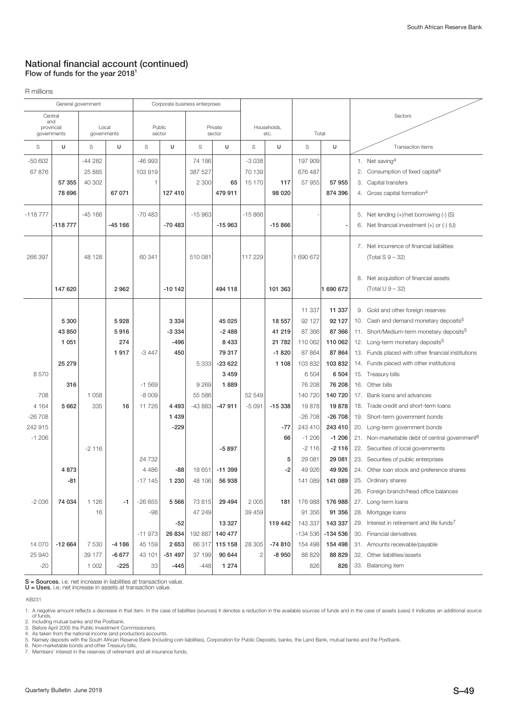## National financial account (continued) Flow of funds for the year 2018<sup>1</sup>

R millions

| General government |                   | Corporate business enterprises |          |          |          |          |          |              |             |           |           |                              |                                                            |  |  |  |  |
|--------------------|-------------------|--------------------------------|----------|----------|----------|----------|----------|--------------|-------------|-----------|-----------|------------------------------|------------------------------------------------------------|--|--|--|--|
| Central            |                   |                                |          |          |          |          |          |              |             |           |           | Sectors                      |                                                            |  |  |  |  |
|                    | and<br>provincial |                                | Local    | Public   |          | Private  |          |              | Households, |           |           |                              |                                                            |  |  |  |  |
| governments        |                   | governments                    |          | sector   |          |          | sector   | etc.         |             | Total     |           |                              |                                                            |  |  |  |  |
| S                  | U                 | S                              | U        | S        | U        | S        | U        | S            | U           | S         | U         |                              | Transaction items                                          |  |  |  |  |
| $-50602$           |                   | $-44282$                       |          | $-46993$ |          | 74 186   |          | $-3038$      |             | 197 909   |           |                              | 1. Net saving <sup>4</sup>                                 |  |  |  |  |
| 67 876             |                   | 25 885                         |          | 103 919  |          | 387 527  |          | 70 139       |             | 676 487   |           | 2.                           | Consumption of fixed capital <sup>4</sup>                  |  |  |  |  |
|                    | 57 355            | 40 302                         |          | 1        |          | 2 3 0 0  | 65       | 15 170       | 117         | 57 955    | 57 955    |                              | 3. Capital transfers                                       |  |  |  |  |
|                    | 78 696            |                                | 67 071   |          | 127 410  |          | 479 911  |              | 98 0 20     |           | 874 396   |                              | 4. Gross capital formation <sup>4</sup>                    |  |  |  |  |
| $-118777$          |                   | $-45166$                       |          | $-70483$ |          | $-15963$ |          | $-15866$     |             |           |           |                              | 5. Net lending (+)/net borrowing (-) (S)                   |  |  |  |  |
|                    | $-118777$         |                                | $-45166$ |          | $-70483$ |          | $-15963$ |              | $-15866$    |           |           |                              | 6. Net financial investment $(+)$ or $(-)$ (U)             |  |  |  |  |
|                    |                   |                                |          |          |          |          |          |              |             |           |           |                              | 7. Net incurrence of financial liabilities                 |  |  |  |  |
| 266 397            |                   | 48 128                         |          | 60 341   |          | 510 081  |          | 117 229      |             | 1 690 672 |           |                              | $(Total S 9 - 32)$                                         |  |  |  |  |
|                    |                   |                                |          |          |          |          |          |              |             |           |           |                              |                                                            |  |  |  |  |
|                    |                   |                                |          |          |          |          |          |              |             |           |           |                              | 8. Net acquisition of financial assets                     |  |  |  |  |
|                    | 147 620           |                                | 2962     |          | $-10142$ |          | 494 118  |              | 101 363     |           | 1 690 672 |                              | (Total $U$ 9 – 32)                                         |  |  |  |  |
|                    |                   |                                |          |          |          |          |          |              |             | 11 337    | 11 337    |                              | 9. Gold and other foreign reserves                         |  |  |  |  |
|                    | 5 300             |                                | 5928     |          | 3 3 3 4  |          | 45 025   |              | 18 557      | 92 127    | 92 127    |                              | 10. Cash and demand monetary deposits <sup>5</sup>         |  |  |  |  |
|                    | 43 850            |                                | 5916     |          | $-3334$  |          | $-2488$  |              | 41 219      | 87 366    | 87 366    |                              | 11. Short/Medium-term monetary deposits <sup>5</sup>       |  |  |  |  |
|                    | 1 0 5 1           |                                | 274      |          | $-496$   |          | 8 4 3 3  |              | 21 782      | 110 062   | 110 062   |                              | 12. Long-term monetary deposits <sup>5</sup>               |  |  |  |  |
|                    |                   |                                | 1917     | $-3447$  | 450      |          | 79 317   |              | $-1820$     | 87 864    | 87 864    |                              | 13. Funds placed with other financial institutions         |  |  |  |  |
|                    | 25 279            |                                |          |          |          | 5 3 3 3  | $-23622$ |              | 1 1 0 8     | 103 832   | 103832    |                              | 14. Funds placed with other institutions                   |  |  |  |  |
| 8570               |                   |                                |          |          |          |          | 3 4 5 9  |              |             | 6 5 0 4   | 6 5 0 4   |                              | 15. Treasury bills                                         |  |  |  |  |
|                    | 316               |                                |          | $-1569$  |          | 9 2 6 9  | 1889     |              |             | 76 208    | 76 208    |                              | 16. Other bills                                            |  |  |  |  |
| 708                |                   | 1 0 5 8                        |          | $-8009$  |          | 55 586   |          | 52 549       |             | 140 720   | 140 720   |                              | 17. Bank loans and advances                                |  |  |  |  |
| 4 1 6 4            | 5 6 6 2           | 335                            | 16       | 11726    | 4 4 9 3  | $-43883$ | $-47911$ | $-5091$      | $-15338$    | 19878     | 19878     |                              | 18. Trade credit and short-term loans                      |  |  |  |  |
| $-26708$           |                   |                                |          |          | 1 4 3 9  |          |          |              |             | $-26708$  | $-26708$  |                              | 19. Short-term government bonds                            |  |  |  |  |
| 242 915            |                   |                                |          |          | $-229$   |          |          |              | $-77$       | 243 410   | 243 410   |                              | 20. Long-term government bonds                             |  |  |  |  |
| $-1206$            |                   |                                |          |          |          |          |          |              | 66          | $-1206$   | $-1206$   |                              | 21. Non-marketable debt of central government <sup>6</sup> |  |  |  |  |
|                    |                   | $-2116$                        |          |          |          |          | $-5897$  |              |             | $-2116$   | $-2116$   |                              | 22. Securities of local governments                        |  |  |  |  |
|                    |                   |                                |          | 24 7 32  |          |          |          |              | 5           | 29 081    | 29 081    |                              | 23. Securities of public enterprises                       |  |  |  |  |
|                    | 4873              |                                |          | 4 4 8 6  | -88      | 18 651   | $-11399$ |              | -2          | 49 926    | 49 926    |                              | 24. Other loan stock and preference shares                 |  |  |  |  |
|                    | -81               |                                |          | -17 145  | 1 2 3 0  | 48 106   | 56 938   |              |             | 141 089   | 141 089   |                              | 25. Ordinary shares                                        |  |  |  |  |
|                    |                   |                                |          |          |          |          |          |              |             |           |           |                              | 26. Foreign branch/head office balances                    |  |  |  |  |
| $-2036$            | 74 034            | 1 1 2 6                        | $-1$     | $-26655$ | 5 5 6 6  | 73815    | 29 4 94  | 2 0 0 5      | 181         | 176 988   | 176 988   |                              | 27. Long-term loans                                        |  |  |  |  |
|                    |                   | 16                             |          | -98      |          | 47 249   |          | 39 459       |             | 91 356    | 91 356    |                              | 28. Mortgage loans                                         |  |  |  |  |
|                    |                   |                                |          |          | -52      |          | 13 3 27  |              | 119 442     | 143 337   | 143 337   |                              | 29. Interest in retirement and life funds <sup>7</sup>     |  |  |  |  |
|                    |                   |                                |          | $-11973$ | 26 834   | 192 887  | 140 477  |              |             | $-134536$ | -134 536  |                              | 30. Financial derivatives                                  |  |  |  |  |
| 14 070             | $-12664$          | 7 5 3 0                        | $-4186$  | 45 159   | 2653     | 66317    | 115 158  | 28 305       | $-74810$    | 154 498   | 154 498   |                              | 31. Amounts receivable/payable                             |  |  |  |  |
| 25 940             |                   | 39 177                         | $-6677$  | 43 101   | $-51497$ | 37 199   | 90 644   | $\mathbf{2}$ | -8 950      | 88 829    | 88 829    | 32. Other liabilities/assets |                                                            |  |  |  |  |
| $-20$              |                   | 1 0 0 2                        | -225     | 33       | $-445$   | $-448$   | 1 2 7 4  |              |             | 826       | 826       | 33. Balancing item           |                                                            |  |  |  |  |

 $S =$  Sources, i.e. net increase in liabilities at transaction value.  $U =$  Uses, i.e. net increase in assets at transaction value.

KB231

<sup>1.</sup> A negative amount reflects a decrease in that item. In the case of liabilities (sources) it denotes a reduction in the available sources of funds and in the case of assets (uses) it indicates an additional source<br>of fun